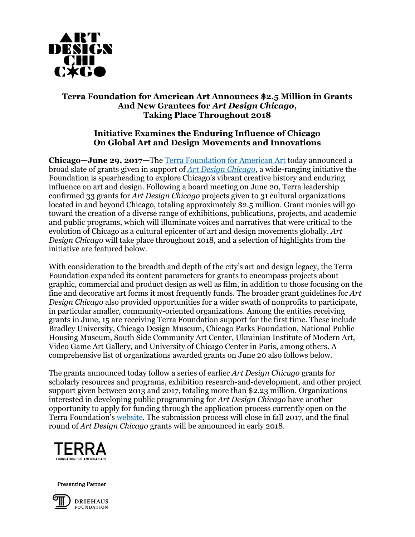

# **Terra Foundation for American Art Announces \$2.5 Million in Grants And New Grantees for** *Art Design Chicago***, Taking Place Throughout 2018**

# **Initiative Examines the Enduring Influence of Chicago On Global Art and Design Movements and Innovations**

**Chicago—June 29, 2017—**The [Terra Foundation for American Art](https://www.terraamericanart.org/) today announced a broad slate of grants given in support of *[Art Design Chicago](https://www.artdesignchicago.org/)*, a wide-ranging initiative the Foundation is spearheading to explore Chicago's vibrant creative history and enduring influence on art and design. Following a board meeting on June 20, Terra leadership confirmed 33 grants for *Art Design Chicago* projects given to 31 cultural organizations located in and beyond Chicago, totaling approximately \$2.5 million. Grant monies will go toward the creation of a diverse range of exhibitions, publications, projects, and academic and public programs, which will illuminate voices and narratives that were critical to the evolution of Chicago as a cultural epicenter of art and design movements globally. *Art Design Chicago* will take place throughout 2018, and a selection of highlights from the initiative are featured below.

With consideration to the breadth and depth of the city's art and design legacy, the Terra Foundation expanded its content parameters for grants to encompass projects about graphic, commercial and product design as well as film, in addition to those focusing on the fine and decorative art forms it most frequently funds. The broader grant guidelines for *Art Design Chicago* also provided opportunities for a wider swath of nonprofits to participate, in particular smaller, community-oriented organizations. Among the entities receiving grants in June, 15 are receiving Terra Foundation support for the first time. These include Bradley University, Chicago Design Museum, Chicago Parks Foundation, National Public Housing Museum, South Side Community Art Center, Ukrainian Institute of Modern Art, Video Game Art Gallery, and University of Chicago Center in Paris, among others. A comprehensive list of organizations awarded grants on June 20 also follows below.

The grants announced today follow a series of earlier *Art Design Chicago* grants for scholarly resources and programs, exhibition research-and-development, and other project support given between 2013 and 2017, totaling more than \$2.23 million. Organizations interested in developing public programming for *Art Design Chicago* have another opportunity to apply for funding through the application process currently open on the Terra Foundation's [website.](https://www.terraamericanart.org/what-we-offer/grant-fellowship-opportunities/art-design-chicago-public-program-grants/) The submission process will close in fall 2017, and the final round of *Art Design Chicago* grants will be announced in early 2018.



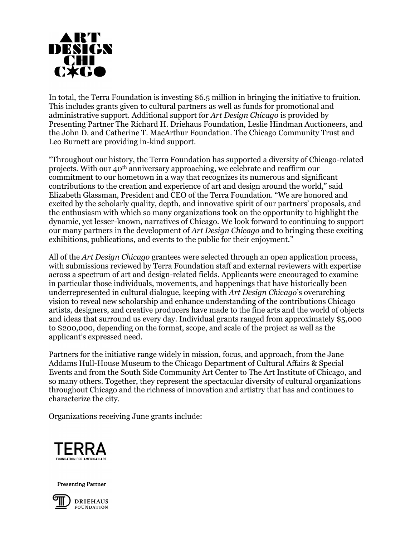

In total, the Terra Foundation is investing \$6.5 million in bringing the initiative to fruition. This includes grants given to cultural partners as well as funds for promotional and administrative support. Additional support for *Art Design Chicago* is provided by Presenting Partner The Richard H. Driehaus Foundation, Leslie Hindman Auctioneers, and the John D. and Catherine T. MacArthur Foundation. The Chicago Community Trust and Leo Burnett are providing in-kind support.

"Throughout our history, the Terra Foundation has supported a diversity of Chicago-related projects. With our 40th anniversary approaching, we celebrate and reaffirm our commitment to our hometown in a way that recognizes its numerous and significant contributions to the creation and experience of art and design around the world," said Elizabeth Glassman, President and CEO of the Terra Foundation. "We are honored and excited by the scholarly quality, depth, and innovative spirit of our partners' proposals, and the enthusiasm with which so many organizations took on the opportunity to highlight the dynamic, yet lesser-known, narratives of Chicago. We look forward to continuing to support our many partners in the development of *Art Design Chicago* and to bringing these exciting exhibitions, publications, and events to the public for their enjoyment."

All of the *Art Design Chicago* grantees were selected through an open application process, with submissions reviewed by Terra Foundation staff and external reviewers with expertise across a spectrum of art and design-related fields. Applicants were encouraged to examine in particular those individuals, movements, and happenings that have historically been underrepresented in cultural dialogue, keeping with *Art Design Chicago*'s overarching vision to reveal new scholarship and enhance understanding of the contributions Chicago artists, designers, and creative producers have made to the fine arts and the world of objects and ideas that surround us every day. Individual grants ranged from approximately \$5,000 to \$200,000, depending on the format, scope, and scale of the project as well as the applicant's expressed need.

Partners for the initiative range widely in mission, focus, and approach, from the Jane Addams Hull-House Museum to the Chicago Department of Cultural Affairs & Special Events and from the South Side Community Art Center to The Art Institute of Chicago, and so many others. Together, they represent the spectacular diversity of cultural organizations throughout Chicago and the richness of innovation and artistry that has and continues to characterize the city.

Organizations receiving June grants include:





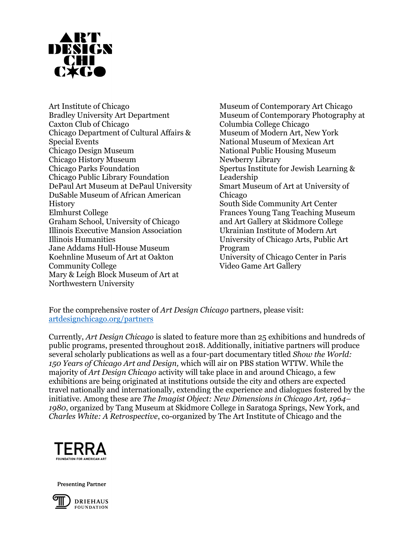

Art Institute of Chicago Bradley University Art Department Caxton Club of Chicago Chicago Department of Cultural Affairs & Special Events Chicago Design Museum Chicago History Museum Chicago Parks Foundation Chicago Public Library Foundation DePaul Art Museum at DePaul University DuSable Museum of African American **History** Elmhurst College Graham School, University of Chicago Illinois Executive Mansion Association Illinois Humanities Jane Addams Hull-House Museum Koehnline Museum of Art at Oakton Community College Mary & Leigh Block Museum of Art at Northwestern University

Museum of Contemporary Art Chicago Museum of Contemporary Photography at Columbia College Chicago Museum of Modern Art, New York National Museum of Mexican Art National Public Housing Museum Newberry Library Spertus Institute for Jewish Learning & Leadership Smart Museum of Art at University of Chicago South Side Community Art Center Frances Young Tang Teaching Museum and Art Gallery at Skidmore College Ukrainian Institute of Modern Art University of Chicago Arts, Public Art Program University of Chicago Center in Paris Video Game Art Gallery

For the comprehensive roster of *Art Design Chicago* partners, please visit: [artdesignchicago.org/partners](file:///C:/Users/jasculca/AppData/Local/Microsoft/Windows/INetCache/Content.Outlook/TLI9I2XX/artdesignchicago.org/partners)

Currently, *Art Design Chicago* is slated to feature more than 25 exhibitions and hundreds of public programs, presented throughout 2018. Additionally, initiative partners will produce several scholarly publications as well as a four-part documentary titled *Show the World: 150 Years of Chicago Art and Design,* which will air on PBS station WTTW*.* While the majority of *Art Design Chicago* activity will take place in and around Chicago, a few exhibitions are being originated at institutions outside the city and others are expected travel nationally and internationally, extending the experience and dialogues fostered by the initiative. Among these are *The Imagist Object: New Dimensions in Chicago Art, 1964– 1980*, organized by Tang Museum at Skidmore College in Saratoga Springs, New York, and *Charles White: A Retrospective*, co-organized by The Art Institute of Chicago and the



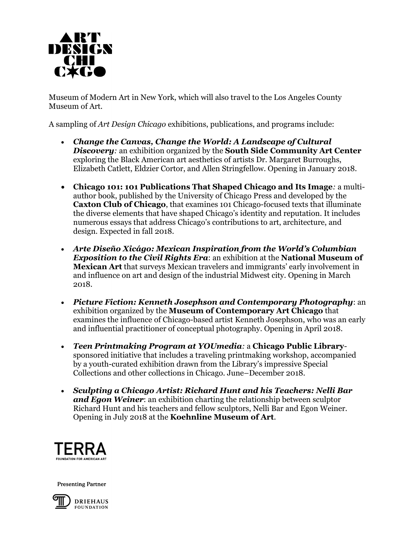

Museum of Modern Art in New York, which will also travel to the Los Angeles County Museum of Art.

A sampling of *Art Design Chicago* exhibitions, publications, and programs include:

- *Change the Canvas, Change the World: A Landscape of Cultural Discovery:* an exhibition organized by the **South Side Community Art Center** exploring the Black American art aesthetics of artists Dr. Margaret Burroughs, Elizabeth Catlett, Eldzier Cortor, and Allen Stringfellow. Opening in January 2018.
- **Chicago 101: 101 Publications That Shaped Chicago and Its Image***:* a multiauthor book, published by the University of Chicago Press and developed by the **Caxton Club of Chicago**, that examines 101 Chicago-focused texts that illuminate the diverse elements that have shaped Chicago's identity and reputation. It includes numerous essays that address Chicago's contributions to art, architecture, and design. Expected in fall 2018.
- *Arte Diseño Xicágo: Mexican Inspiration from the World's Columbian Exposition to the Civil Rights Era*: an exhibition at the **National Museum of Mexican Art** that surveys Mexican travelers and immigrants' early involvement in and influence on art and design of the industrial Midwest city. Opening in March 2018.
- *Picture Fiction: Kenneth Josephson and Contemporary Photography*: an exhibition organized by the **Museum of Contemporary Art Chicago** that examines the influence of Chicago-based artist Kenneth Josephson, who was an early and influential practitioner of conceptual photography. Opening in April 2018.
- *Teen Printmaking Program at YOUmedia:* a **Chicago Public Library**sponsored initiative that includes a traveling printmaking workshop, accompanied by a youth-curated exhibition drawn from the Library's impressive Special Collections and other collections in Chicago. June–December 2018.
- *Sculpting a Chicago Artist: Richard Hunt and his Teachers: Nelli Bar and Egon Weiner*: an exhibition charting the relationship between sculptor Richard Hunt and his teachers and fellow sculptors, Nelli Bar and Egon Weiner. Opening in July 2018 at the **Koehnline Museum of Art**.



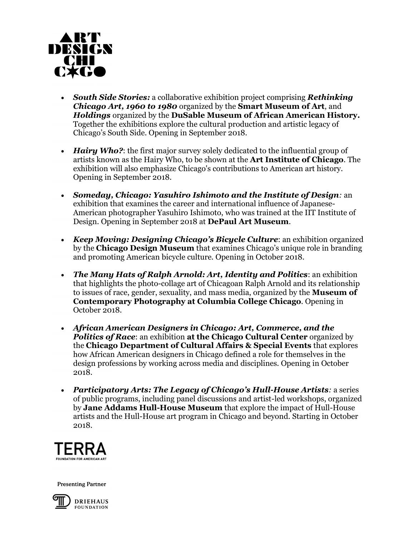

- *South Side Stories:* a collaborative exhibition project comprising *Rethinking Chicago Art, 1960 to 1980* organized by the **Smart Museum of Art**, and *Holdings* organized by the **DuSable Museum of African American History.**  Together the exhibitions explore the cultural production and artistic legacy of Chicago's South Side. Opening in September 2018.
- *Hairy Who?*: the first major survey solely dedicated to the influential group of artists known as the Hairy Who, to be shown at the **Art Institute of Chicago**. The exhibition will also emphasize Chicago's contributions to American art history. Opening in September 2018.
- *Someday, Chicago: Yasuhiro Ishimoto and the Institute of Design:* an exhibition that examines the career and international influence of Japanese-American photographer Yasuhiro Ishimoto, who was trained at the IIT Institute of Design. Opening in September 2018 at **DePaul Art Museum**.
- *Keep Moving: Designing Chicago's Bicycle Culture*: an exhibition organized by the **Chicago Design Museum** that examines Chicago's unique role in branding and promoting American bicycle culture. Opening in October 2018.
- *The Many Hats of Ralph Arnold: Art, Identity and Politics*: an exhibition that highlights the photo-collage art of Chicagoan Ralph Arnold and its relationship to issues of race, gender, sexuality, and mass media, organized by the **Museum of Contemporary Photography at Columbia College Chicago**. Opening in October 2018.
- *African American Designers in Chicago: Art, Commerce, and the Politics of Race*: an exhibition **at the Chicago Cultural Center** organized by the **Chicago Department of Cultural Affairs & Special Events** that explores how African American designers in Chicago defined a role for themselves in the design professions by working across media and disciplines. Opening in October 2018.
- *Participatory Arts: The Legacy of Chicago's Hull-House Artists:* a series of public programs, including panel discussions and artist-led workshops, organized by **Jane Addams Hull-House Museum** that explore the impact of Hull-House artists and the Hull-House art program in Chicago and beyond. Starting in October 2018.



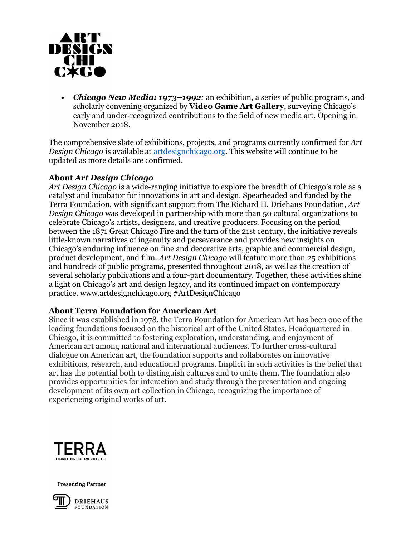

 *Chicago New Media: 1973–1992:* an exhibition, a series of public programs, and scholarly convening organized by **Video Game Art Gallery**, surveying Chicago's early and under‐recognized contributions to the field of new media art. Opening in November 2018.

The comprehensive slate of exhibitions, projects, and programs currently confirmed for *Art Design Chicago* is available at [artdesignchicago.org.](https://www.artdesignchicago.org/) This website will continue to be updated as more details are confirmed.

### **About** *Art Design Chicago*

*Art Design Chicago* is a wide-ranging initiative to explore the breadth of Chicago's role as a catalyst and incubator for innovations in art and design. Spearheaded and funded by the Terra Foundation, with significant support from The Richard H. Driehaus Foundation, *Art Design Chicago* was developed in partnership with more than 50 cultural organizations to celebrate Chicago's artists, designers, and creative producers. Focusing on the period between the 1871 Great Chicago Fire and the turn of the 21st century, the initiative reveals little-known narratives of ingenuity and perseverance and provides new insights on Chicago's enduring influence on fine and decorative arts, graphic and commercial design, product development, and film. *Art Design Chicago* will feature more than 25 exhibitions and hundreds of public programs, presented throughout 2018, as well as the creation of several scholarly publications and a four-part documentary. Together, these activities shine a light on Chicago's art and design legacy, and its continued impact on contemporary practice. www.artdesignchicago.org #ArtDesignChicago

#### **About Terra Foundation for American Art**

Since it was established in 1978, the Terra Foundation for American Art has been one of the leading foundations focused on the historical art of the United States. Headquartered in Chicago, it is committed to fostering exploration, understanding, and enjoyment of American art among national and international audiences. To further cross-cultural dialogue on American art, the foundation supports and collaborates on innovative exhibitions, research, and educational programs. Implicit in such activities is the belief that art has the potential both to distinguish cultures and to unite them. The foundation also provides opportunities for interaction and study through the presentation and ongoing development of its own art collection in Chicago, recognizing the importance of experiencing original works of art.